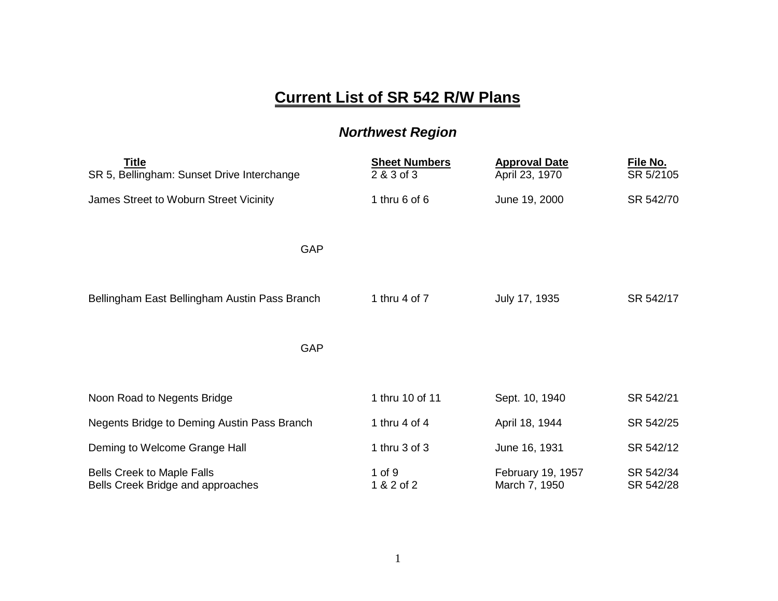## **Current List of SR 542 R/W Plans**

## *Northwest Region*

| <b>Title</b><br>SR 5, Bellingham: Sunset Drive Interchange             | <b>Sheet Numbers</b><br>2 & 3 of 3 | <b>Approval Date</b><br>April 23, 1970 | File No.<br>SR 5/2105  |
|------------------------------------------------------------------------|------------------------------------|----------------------------------------|------------------------|
| James Street to Woburn Street Vicinity                                 | 1 thru $6$ of $6$                  | June 19, 2000                          | SR 542/70              |
| GAP                                                                    |                                    |                                        |                        |
| Bellingham East Bellingham Austin Pass Branch                          | 1 thru 4 of 7                      | July 17, 1935                          | SR 542/17              |
| GAP                                                                    |                                    |                                        |                        |
| Noon Road to Negents Bridge                                            | 1 thru 10 of 11                    | Sept. 10, 1940                         | SR 542/21              |
| Negents Bridge to Deming Austin Pass Branch                            | 1 thru $4$ of $4$                  | April 18, 1944                         | SR 542/25              |
| Deming to Welcome Grange Hall                                          | 1 thru $3$ of $3$                  | June 16, 1931                          | SR 542/12              |
| <b>Bells Creek to Maple Falls</b><br>Bells Creek Bridge and approaches | 1 of 9<br>1 & 2 of 2               | February 19, 1957<br>March 7, 1950     | SR 542/34<br>SR 542/28 |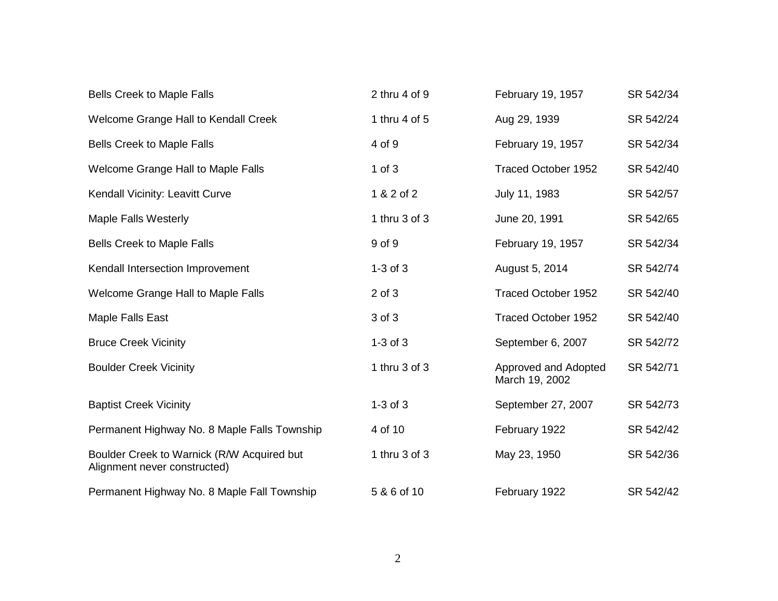| <b>Bells Creek to Maple Falls</b>                                          | 2 thru $4$ of $9$ | February 19, 1957                      | SR 542/34 |
|----------------------------------------------------------------------------|-------------------|----------------------------------------|-----------|
| Welcome Grange Hall to Kendall Creek                                       | 1 thru 4 of 5     | Aug 29, 1939                           | SR 542/24 |
| <b>Bells Creek to Maple Falls</b>                                          | 4 of 9            | February 19, 1957                      | SR 542/34 |
| Welcome Grange Hall to Maple Falls                                         | $1$ of $3$        | <b>Traced October 1952</b>             | SR 542/40 |
| Kendall Vicinity: Leavitt Curve                                            | 1 & 2 of 2        | July 11, 1983                          | SR 542/57 |
| <b>Maple Falls Westerly</b>                                                | 1 thru 3 of 3     | June 20, 1991                          | SR 542/65 |
| <b>Bells Creek to Maple Falls</b>                                          | 9 of 9            | February 19, 1957                      | SR 542/34 |
| Kendall Intersection Improvement                                           | $1-3$ of $3$      | August 5, 2014                         | SR 542/74 |
| Welcome Grange Hall to Maple Falls                                         | $2$ of $3$        | <b>Traced October 1952</b>             | SR 542/40 |
| Maple Falls East                                                           | 3 of 3            | <b>Traced October 1952</b>             | SR 542/40 |
| <b>Bruce Creek Vicinity</b>                                                | $1-3$ of $3$      | September 6, 2007                      | SR 542/72 |
| <b>Boulder Creek Vicinity</b>                                              | 1 thru 3 of 3     | Approved and Adopted<br>March 19, 2002 | SR 542/71 |
| <b>Baptist Creek Vicinity</b>                                              | $1-3$ of $3$      | September 27, 2007                     | SR 542/73 |
| Permanent Highway No. 8 Maple Falls Township                               | 4 of 10           | February 1922                          | SR 542/42 |
| Boulder Creek to Warnick (R/W Acquired but<br>Alignment never constructed) | 1 thru 3 of 3     | May 23, 1950                           | SR 542/36 |
| Permanent Highway No. 8 Maple Fall Township                                | 5 & 6 of 10       | February 1922                          | SR 542/42 |